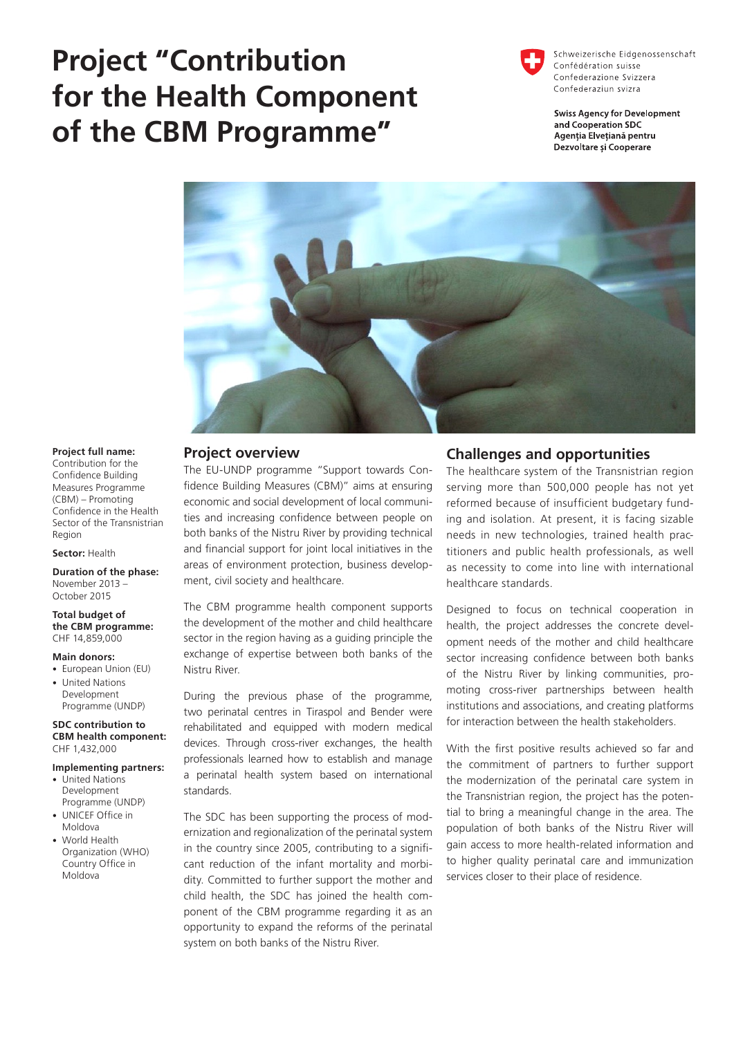# **Project "Contribution for the Health Component of the CBM Programme"**

Schweizerische Eidgenossenschaft Confédération suisse Confederazione Svizzera Confederaziun svizra

**Swiss Agency for Development** and Cooperation SDC Agentia Elvetiană pentru Dezvoltare și Cooperare



## **Project full name:**

Contribution for the Confidence Building Measures Programme (CBM) – Promoting Confidence in the Health Sector of the Transnistrian Region

#### **Sector:** Health

**Duration of the phase:**  November 2013 – October 2015

#### **Total budget of the CBM programme:** CHF 14,859,000

#### **Main donors:**

- European Union (EU)
- United Nations Development Programme (UNDP)

**SDC contribution to CBM health component:** CHF 1,432,000

### **Implementing partners:**

- United Nations Development Programme (UNDP)
- UNICEF Office in Moldova
- World Health Organization (WHO) Country Office in Moldova

## **Project overview**

The EU-UNDP programme "Support towards Confidence Building Measures (CBM)" aims at ensuring economic and social development of local communities and increasing confidence between people on both banks of the Nistru River by providing technical and financial support for joint local initiatives in the areas of environment protection, business development, civil society and healthcare.

The CBM programme health component supports the development of the mother and child healthcare sector in the region having as a guiding principle the exchange of expertise between both banks of the Nistru River.

During the previous phase of the programme, two perinatal centres in Tiraspol and Bender were rehabilitated and equipped with modern medical devices. Through cross-river exchanges, the health professionals learned how to establish and manage a perinatal health system based on international standards.

The SDC has been supporting the process of modernization and regionalization of the perinatal system in the country since 2005, contributing to a significant reduction of the infant mortality and morbidity. Committed to further support the mother and child health, the SDC has joined the health component of the CBM programme regarding it as an opportunity to expand the reforms of the perinatal system on both banks of the Nistru River.

## **Challenges and opportunities**

The healthcare system of the Transnistrian region serving more than 500,000 people has not yet reformed because of insufficient budgetary funding and isolation. At present, it is facing sizable needs in new technologies, trained health practitioners and public health professionals, as well as necessity to come into line with international healthcare standards.

Designed to focus on technical cooperation in health, the project addresses the concrete development needs of the mother and child healthcare sector increasing confidence between both banks of the Nistru River by linking communities, promoting cross-river partnerships between health institutions and associations, and creating platforms for interaction between the health stakeholders.

With the first positive results achieved so far and the commitment of partners to further support the modernization of the perinatal care system in the Transnistrian region, the project has the potential to bring a meaningful change in the area. The population of both banks of the Nistru River will gain access to more health-related information and to higher quality perinatal care and immunization services closer to their place of residence.